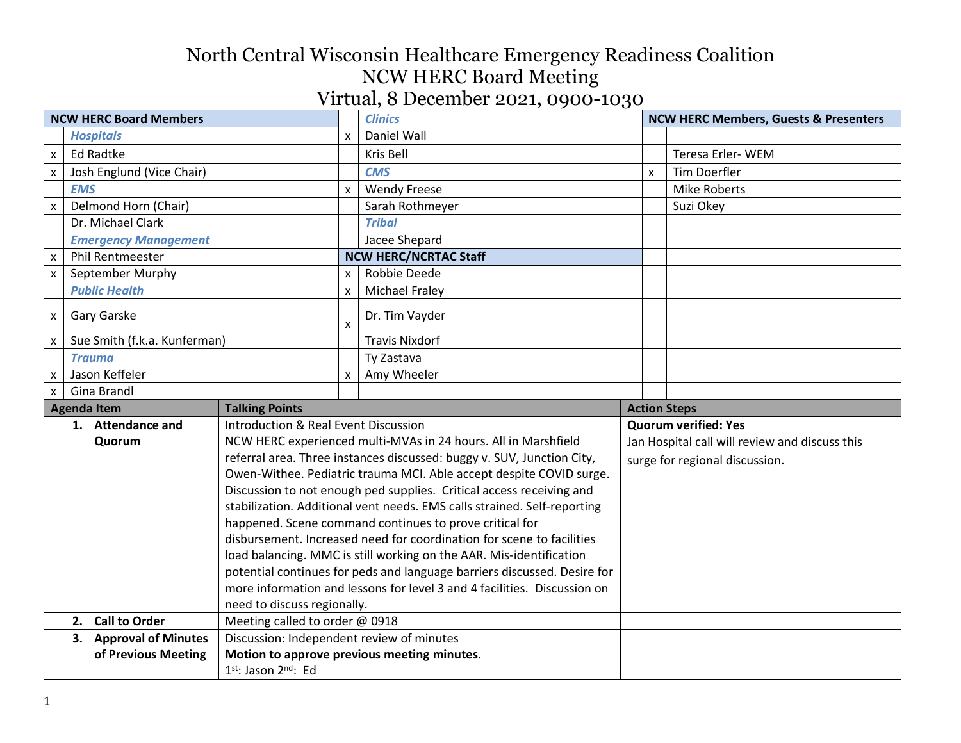| <b>NCW HERC Board Members</b> |                                             |                                           | <b>Clinics</b>     |                                                                          | <b>NCW HERC Members, Guests &amp; Presenters</b> |                                                |  |
|-------------------------------|---------------------------------------------|-------------------------------------------|--------------------|--------------------------------------------------------------------------|--------------------------------------------------|------------------------------------------------|--|
|                               | <b>Hospitals</b>                            |                                           | X                  | Daniel Wall                                                              |                                                  |                                                |  |
| X                             | <b>Ed Radtke</b>                            |                                           |                    | Kris Bell                                                                |                                                  | Teresa Erler-WEM                               |  |
| X                             | Josh Englund (Vice Chair)                   |                                           |                    | <b>CMS</b>                                                               | X                                                | Tim Doerfler                                   |  |
|                               | <b>EMS</b>                                  |                                           | $\mathsf{x}$       | <b>Wendy Freese</b>                                                      |                                                  | <b>Mike Roberts</b>                            |  |
| $\pmb{\mathsf{X}}$            | Delmond Horn (Chair)                        |                                           |                    | Sarah Rothmeyer                                                          |                                                  | Suzi Okey                                      |  |
|                               | Dr. Michael Clark                           |                                           |                    | <b>Tribal</b>                                                            |                                                  |                                                |  |
|                               | <b>Emergency Management</b>                 |                                           |                    | Jacee Shepard                                                            |                                                  |                                                |  |
| $\pmb{\times}$                | <b>Phil Rentmeester</b>                     |                                           |                    | <b>NCW HERC/NCRTAC Staff</b>                                             |                                                  |                                                |  |
| $\pmb{\times}$                | September Murphy                            |                                           | $\pmb{\times}$     | Robbie Deede                                                             |                                                  |                                                |  |
|                               | <b>Public Health</b>                        |                                           | $\pmb{\times}$     | <b>Michael Fraley</b>                                                    |                                                  |                                                |  |
| x                             | Gary Garske                                 |                                           | $\pmb{\mathsf{X}}$ | Dr. Tim Vayder                                                           |                                                  |                                                |  |
| $\pmb{\times}$                | Sue Smith (f.k.a. Kunferman)                |                                           |                    | <b>Travis Nixdorf</b>                                                    |                                                  |                                                |  |
|                               | <b>Trauma</b>                               |                                           |                    | Ty Zastava                                                               |                                                  |                                                |  |
| X                             | Jason Keffeler                              | $\mathsf{x}$                              |                    | Amy Wheeler                                                              |                                                  |                                                |  |
| $\boldsymbol{\mathsf{x}}$     | Gina Brandl                                 |                                           |                    |                                                                          |                                                  |                                                |  |
|                               | <b>Agenda Item</b><br><b>Talking Points</b> |                                           |                    |                                                                          |                                                  | <b>Action Steps</b>                            |  |
|                               | 1. Attendance and                           | Introduction & Real Event Discussion      |                    |                                                                          |                                                  | <b>Quorum verified: Yes</b>                    |  |
|                               | Quorum                                      |                                           |                    | NCW HERC experienced multi-MVAs in 24 hours. All in Marshfield           |                                                  | Jan Hospital call will review and discuss this |  |
|                               |                                             |                                           |                    | referral area. Three instances discussed: buggy v. SUV, Junction City,   |                                                  | surge for regional discussion.                 |  |
|                               |                                             |                                           |                    | Owen-Withee. Pediatric trauma MCI. Able accept despite COVID surge.      |                                                  |                                                |  |
|                               |                                             |                                           |                    |                                                                          |                                                  |                                                |  |
|                               |                                             |                                           |                    | Discussion to not enough ped supplies. Critical access receiving and     |                                                  |                                                |  |
|                               |                                             |                                           |                    | stabilization. Additional vent needs. EMS calls strained. Self-reporting |                                                  |                                                |  |
|                               |                                             |                                           |                    | happened. Scene command continues to prove critical for                  |                                                  |                                                |  |
|                               |                                             |                                           |                    | disbursement. Increased need for coordination for scene to facilities    |                                                  |                                                |  |
|                               |                                             |                                           |                    | load balancing. MMC is still working on the AAR. Mis-identification      |                                                  |                                                |  |
|                               |                                             |                                           |                    | potential continues for peds and language barriers discussed. Desire for |                                                  |                                                |  |
|                               |                                             |                                           |                    | more information and lessons for level 3 and 4 facilities. Discussion on |                                                  |                                                |  |
|                               |                                             | need to discuss regionally.               |                    |                                                                          |                                                  |                                                |  |
|                               | 2. Call to Order                            | Meeting called to order @ 0918            |                    |                                                                          |                                                  |                                                |  |
|                               | 3. Approval of Minutes                      | Discussion: Independent review of minutes |                    |                                                                          |                                                  |                                                |  |
|                               | of Previous Meeting                         | 1st: Jason 2nd: Ed                        |                    | Motion to approve previous meeting minutes.                              |                                                  |                                                |  |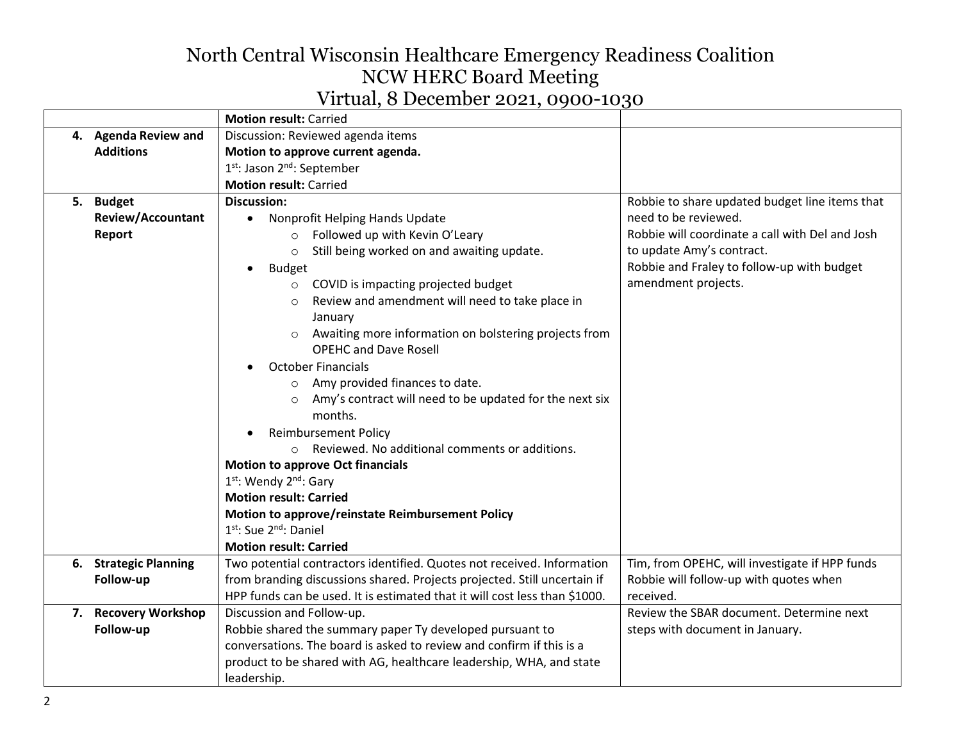# North Central Wisconsin Healthcare Emergency Readiness Coalition NCW HERC Board Meeting

| Virtual, 8 December 2021, 0900-1030 |  |  |  |
|-------------------------------------|--|--|--|
|-------------------------------------|--|--|--|

|                          | <b>Motion result: Carried</b>                                              |                                                 |
|--------------------------|----------------------------------------------------------------------------|-------------------------------------------------|
| 4. Agenda Review and     | Discussion: Reviewed agenda items                                          |                                                 |
| <b>Additions</b>         | Motion to approve current agenda.                                          |                                                 |
|                          | 1st: Jason 2nd: September                                                  |                                                 |
|                          | <b>Motion result: Carried</b>                                              |                                                 |
| 5. Budget                | <b>Discussion:</b>                                                         | Robbie to share updated budget line items that  |
| <b>Review/Accountant</b> | Nonprofit Helping Hands Update                                             | need to be reviewed.                            |
| Report                   | Followed up with Kevin O'Leary<br>$\circ$                                  | Robbie will coordinate a call with Del and Josh |
|                          | Still being worked on and awaiting update.<br>$\circ$                      | to update Amy's contract.                       |
|                          | <b>Budget</b>                                                              | Robbie and Fraley to follow-up with budget      |
|                          | o COVID is impacting projected budget                                      | amendment projects.                             |
|                          | Review and amendment will need to take place in<br>$\circ$                 |                                                 |
|                          | January                                                                    |                                                 |
|                          | Awaiting more information on bolstering projects from<br>$\circ$           |                                                 |
|                          | <b>OPEHC and Dave Rosell</b>                                               |                                                 |
|                          | <b>October Financials</b>                                                  |                                                 |
|                          | Amy provided finances to date.<br>$\circ$                                  |                                                 |
|                          | Amy's contract will need to be updated for the next six<br>$\circ$         |                                                 |
|                          | months.                                                                    |                                                 |
|                          | <b>Reimbursement Policy</b>                                                |                                                 |
|                          | Reviewed. No additional comments or additions.<br>$\bigcap$                |                                                 |
|                          | <b>Motion to approve Oct financials</b>                                    |                                                 |
|                          | 1st: Wendy 2nd: Gary                                                       |                                                 |
|                          | <b>Motion result: Carried</b>                                              |                                                 |
|                          | Motion to approve/reinstate Reimbursement Policy                           |                                                 |
|                          | 1st: Sue 2nd: Daniel                                                       |                                                 |
|                          | <b>Motion result: Carried</b>                                              |                                                 |
| 6. Strategic Planning    | Two potential contractors identified. Quotes not received. Information     | Tim, from OPEHC, will investigate if HPP funds  |
| Follow-up                | from branding discussions shared. Projects projected. Still uncertain if   | Robbie will follow-up with quotes when          |
|                          | HPP funds can be used. It is estimated that it will cost less than \$1000. | received.                                       |
| 7. Recovery Workshop     | Discussion and Follow-up.                                                  | Review the SBAR document. Determine next        |
| Follow-up                | Robbie shared the summary paper Ty developed pursuant to                   | steps with document in January.                 |
|                          | conversations. The board is asked to review and confirm if this is a       |                                                 |
|                          | product to be shared with AG, healthcare leadership, WHA, and state        |                                                 |
|                          | leadership.                                                                |                                                 |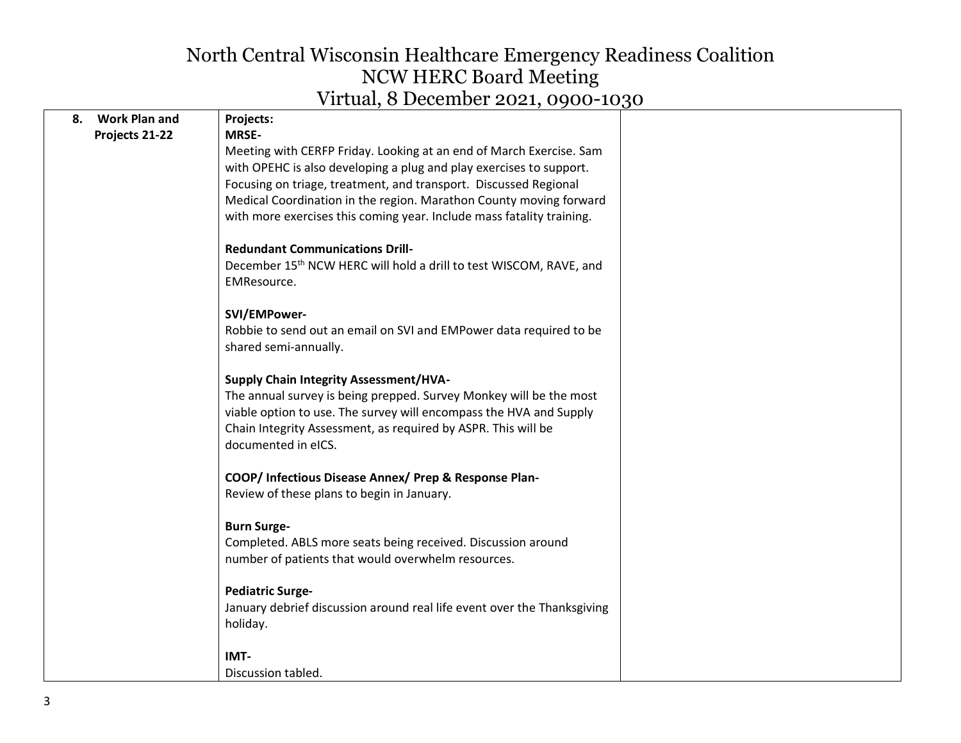|    |                      | Therm, O December 2021, 0900 10, $0^{\circ}$                            |  |
|----|----------------------|-------------------------------------------------------------------------|--|
| 8. | <b>Work Plan and</b> | Projects:                                                               |  |
|    | Projects 21-22       | <b>MRSE-</b>                                                            |  |
|    |                      | Meeting with CERFP Friday. Looking at an end of March Exercise. Sam     |  |
|    |                      | with OPEHC is also developing a plug and play exercises to support.     |  |
|    |                      | Focusing on triage, treatment, and transport. Discussed Regional        |  |
|    |                      | Medical Coordination in the region. Marathon County moving forward      |  |
|    |                      | with more exercises this coming year. Include mass fatality training.   |  |
|    |                      | <b>Redundant Communications Drill-</b>                                  |  |
|    |                      | December 15th NCW HERC will hold a drill to test WISCOM, RAVE, and      |  |
|    |                      | EMResource.                                                             |  |
|    |                      | SVI/EMPower-                                                            |  |
|    |                      | Robbie to send out an email on SVI and EMPower data required to be      |  |
|    |                      | shared semi-annually.                                                   |  |
|    |                      | <b>Supply Chain Integrity Assessment/HVA-</b>                           |  |
|    |                      | The annual survey is being prepped. Survey Monkey will be the most      |  |
|    |                      | viable option to use. The survey will encompass the HVA and Supply      |  |
|    |                      | Chain Integrity Assessment, as required by ASPR. This will be           |  |
|    |                      | documented in eICS.                                                     |  |
|    |                      | COOP/ Infectious Disease Annex/ Prep & Response Plan-                   |  |
|    |                      | Review of these plans to begin in January.                              |  |
|    |                      | <b>Burn Surge-</b>                                                      |  |
|    |                      | Completed. ABLS more seats being received. Discussion around            |  |
|    |                      | number of patients that would overwhelm resources.                      |  |
|    |                      | <b>Pediatric Surge-</b>                                                 |  |
|    |                      | January debrief discussion around real life event over the Thanksgiving |  |
|    |                      | holiday.                                                                |  |
|    |                      | IMT-                                                                    |  |
|    |                      | Discussion tabled.                                                      |  |
|    |                      |                                                                         |  |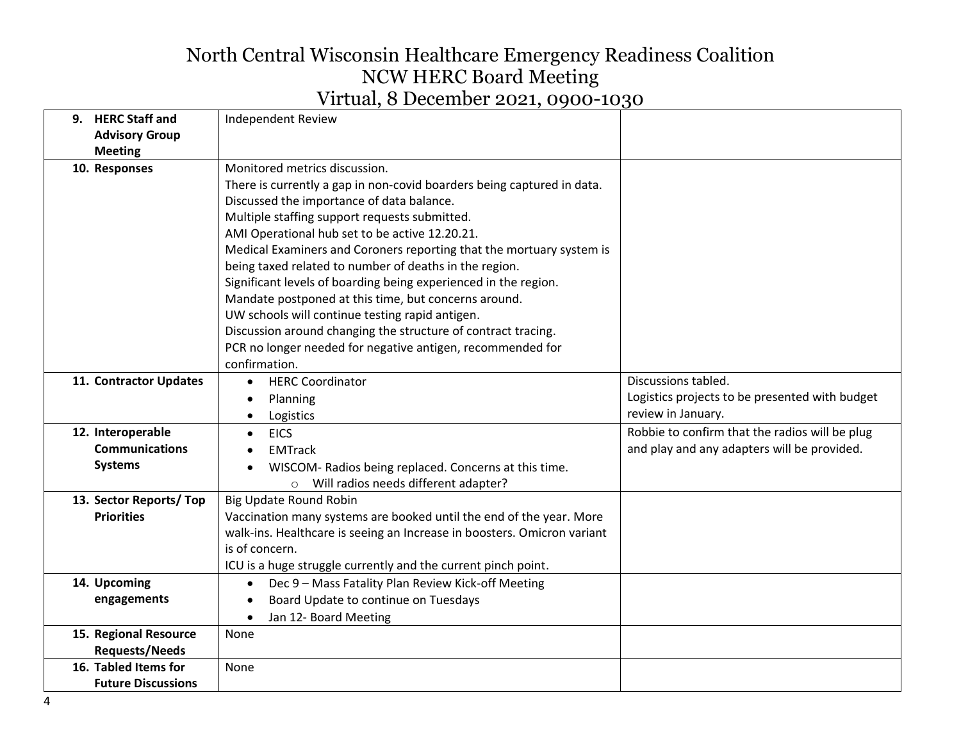| <b>HERC Staff and</b><br>9.             | <b>Independent Review</b>                                               |                                                |
|-----------------------------------------|-------------------------------------------------------------------------|------------------------------------------------|
| <b>Advisory Group</b><br><b>Meeting</b> |                                                                         |                                                |
| 10. Responses                           | Monitored metrics discussion.                                           |                                                |
|                                         | There is currently a gap in non-covid boarders being captured in data.  |                                                |
|                                         | Discussed the importance of data balance.                               |                                                |
|                                         | Multiple staffing support requests submitted.                           |                                                |
|                                         | AMI Operational hub set to be active 12.20.21.                          |                                                |
|                                         | Medical Examiners and Coroners reporting that the mortuary system is    |                                                |
|                                         | being taxed related to number of deaths in the region.                  |                                                |
|                                         | Significant levels of boarding being experienced in the region.         |                                                |
|                                         | Mandate postponed at this time, but concerns around.                    |                                                |
|                                         | UW schools will continue testing rapid antigen.                         |                                                |
|                                         | Discussion around changing the structure of contract tracing.           |                                                |
|                                         | PCR no longer needed for negative antigen, recommended for              |                                                |
|                                         | confirmation.                                                           |                                                |
| 11. Contractor Updates                  | <b>HERC Coordinator</b>                                                 | Discussions tabled.                            |
|                                         | Planning                                                                | Logistics projects to be presented with budget |
|                                         | Logistics                                                               | review in January.                             |
| 12. Interoperable                       | <b>EICS</b><br>$\bullet$                                                | Robbie to confirm that the radios will be plug |
| <b>Communications</b>                   | <b>EMTrack</b>                                                          | and play and any adapters will be provided.    |
| <b>Systems</b>                          | WISCOM- Radios being replaced. Concerns at this time.                   |                                                |
|                                         | Will radios needs different adapter?<br>$\circ$                         |                                                |
| 13. Sector Reports/Top                  | Big Update Round Robin                                                  |                                                |
| <b>Priorities</b>                       | Vaccination many systems are booked until the end of the year. More     |                                                |
|                                         | walk-ins. Healthcare is seeing an Increase in boosters. Omicron variant |                                                |
|                                         | is of concern.                                                          |                                                |
|                                         | ICU is a huge struggle currently and the current pinch point.           |                                                |
| 14. Upcoming                            | Dec 9 - Mass Fatality Plan Review Kick-off Meeting<br>$\bullet$         |                                                |
| engagements                             | Board Update to continue on Tuesdays                                    |                                                |
|                                         | Jan 12- Board Meeting                                                   |                                                |
| 15. Regional Resource                   | None                                                                    |                                                |
| <b>Requests/Needs</b>                   |                                                                         |                                                |
| 16. Tabled Items for                    | None                                                                    |                                                |
| <b>Future Discussions</b>               |                                                                         |                                                |